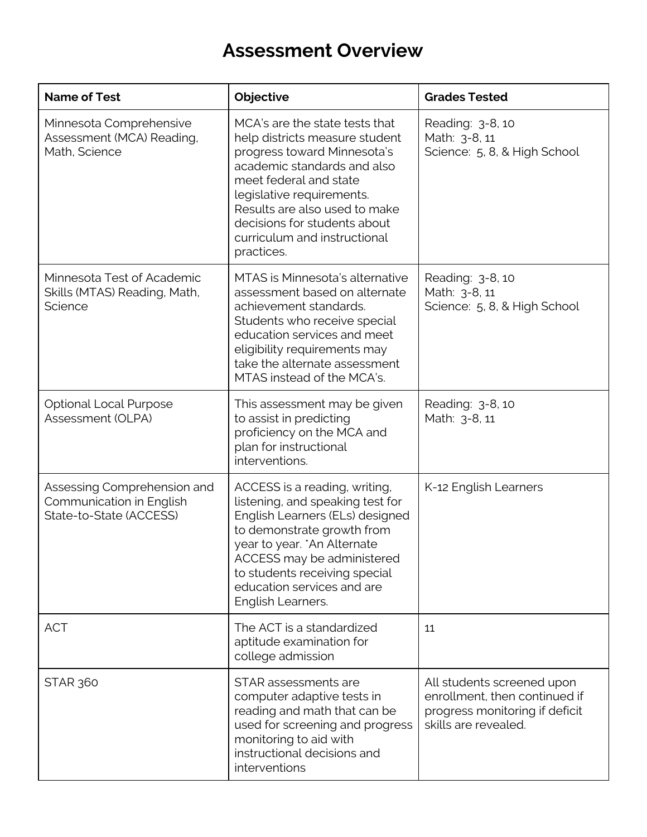## **Assessment Overview**

| <b>Name of Test</b>                                                                | Objective                                                                                                                                                                                                                                                                                            | <b>Grades Tested</b>                                                                                                  |
|------------------------------------------------------------------------------------|------------------------------------------------------------------------------------------------------------------------------------------------------------------------------------------------------------------------------------------------------------------------------------------------------|-----------------------------------------------------------------------------------------------------------------------|
| Minnesota Comprehensive<br>Assessment (MCA) Reading,<br>Math, Science              | MCA's are the state tests that<br>help districts measure student<br>progress toward Minnesota's<br>academic standards and also<br>meet federal and state<br>legislative requirements.<br>Results are also used to make<br>decisions for students about<br>curriculum and instructional<br>practices. | Reading: 3-8, 10<br>Math: 3-8, 11<br>Science: 5, 8, & High School                                                     |
| Minnesota Test of Academic<br>Skills (MTAS) Reading, Math,<br>Science              | MTAS is Minnesota's alternative<br>assessment based on alternate<br>achievement standards.<br>Students who receive special<br>education services and meet<br>eligibility requirements may<br>take the alternate assessment<br>MTAS instead of the MCA's.                                             | Reading: 3-8, 10<br>Math: 3-8, 11<br>Science: 5, 8, & High School                                                     |
| <b>Optional Local Purpose</b><br>Assessment (OLPA)                                 | This assessment may be given<br>to assist in predicting<br>proficiency on the MCA and<br>plan for instructional<br>interventions.                                                                                                                                                                    | Reading: 3-8, 10<br>Math: 3-8, 11                                                                                     |
| Assessing Comprehension and<br>Communication in English<br>State-to-State (ACCESS) | ACCESS is a reading, writing,<br>listening, and speaking test for<br>English Learners (ELs) designed<br>to demonstrate growth from<br>year to year. * An Alternate<br>ACCESS may be administered<br>to students receiving special<br>education services and are<br>English Learners.                 | K-12 English Learners                                                                                                 |
| <b>ACT</b>                                                                         | The ACT is a standardized<br>aptitude examination for<br>college admission                                                                                                                                                                                                                           | 11                                                                                                                    |
| <b>STAR 360</b>                                                                    | STAR assessments are<br>computer adaptive tests in<br>reading and math that can be<br>used for screening and progress<br>monitoring to aid with<br>instructional decisions and<br>interventions                                                                                                      | All students screened upon<br>enrollment, then continued if<br>progress monitoring if deficit<br>skills are revealed. |